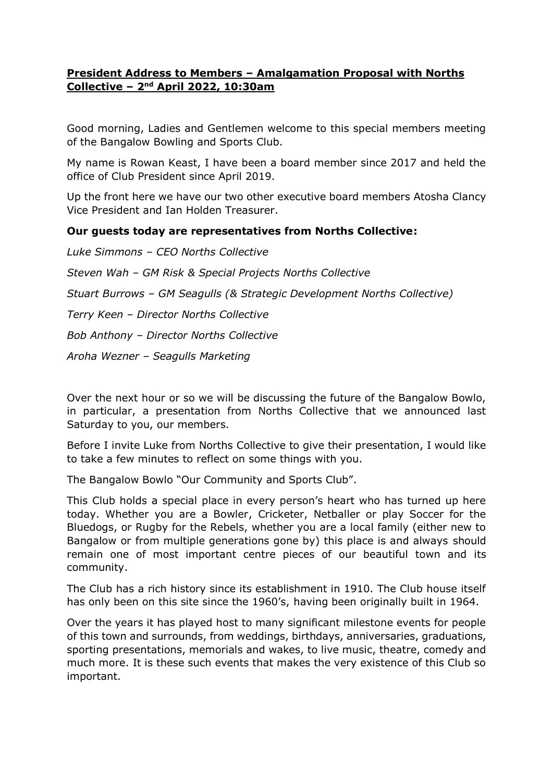# **President Address to Members – Amalgamation Proposal with Norths Collective – 2 nd April 2022, 10:30am**

Good morning, Ladies and Gentlemen welcome to this special members meeting of the Bangalow Bowling and Sports Club.

My name is Rowan Keast, I have been a board member since 2017 and held the office of Club President since April 2019.

Up the front here we have our two other executive board members Atosha Clancy Vice President and Ian Holden Treasurer.

# **Our guests today are representatives from Norths Collective:**

*Luke Simmons – CEO Norths Collective Steven Wah – GM Risk & Special Projects Norths Collective Stuart Burrows – GM Seagulls (& Strategic Development Norths Collective) Terry Keen – Director Norths Collective Bob Anthony – Director Norths Collective Aroha Wezner – Seagulls Marketing*

Over the next hour or so we will be discussing the future of the Bangalow Bowlo, in particular, a presentation from Norths Collective that we announced last Saturday to you, our members.

Before I invite Luke from Norths Collective to give their presentation, I would like to take a few minutes to reflect on some things with you.

The Bangalow Bowlo "Our Community and Sports Club".

This Club holds a special place in every person's heart who has turned up here today. Whether you are a Bowler, Cricketer, Netballer or play Soccer for the Bluedogs, or Rugby for the Rebels, whether you are a local family (either new to Bangalow or from multiple generations gone by) this place is and always should remain one of most important centre pieces of our beautiful town and its community.

The Club has a rich history since its establishment in 1910. The Club house itself has only been on this site since the 1960's, having been originally built in 1964.

Over the years it has played host to many significant milestone events for people of this town and surrounds, from weddings, birthdays, anniversaries, graduations, sporting presentations, memorials and wakes, to live music, theatre, comedy and much more. It is these such events that makes the very existence of this Club so important.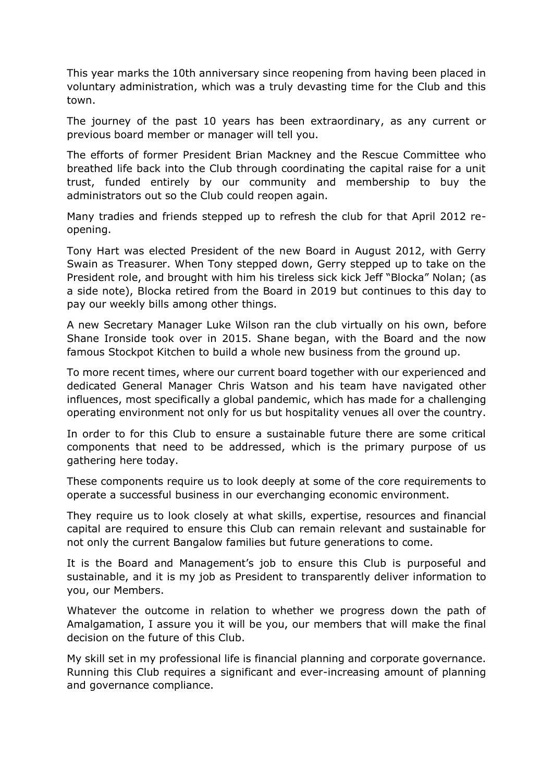This year marks the 10th anniversary since reopening from having been placed in voluntary administration, which was a truly devasting time for the Club and this town.

The journey of the past 10 years has been extraordinary, as any current or previous board member or manager will tell you.

The efforts of former President Brian Mackney and the Rescue Committee who breathed life back into the Club through coordinating the capital raise for a unit trust, funded entirely by our community and membership to buy the administrators out so the Club could reopen again.

Many tradies and friends stepped up to refresh the club for that April 2012 reopening.

Tony Hart was elected President of the new Board in August 2012, with Gerry Swain as Treasurer. When Tony stepped down, Gerry stepped up to take on the President role, and brought with him his tireless sick kick Jeff "Blocka" Nolan; (as a side note), Blocka retired from the Board in 2019 but continues to this day to pay our weekly bills among other things.

A new Secretary Manager Luke Wilson ran the club virtually on his own, before Shane Ironside took over in 2015. Shane began, with the Board and the now famous Stockpot Kitchen to build a whole new business from the ground up.

To more recent times, where our current board together with our experienced and dedicated General Manager Chris Watson and his team have navigated other influences, most specifically a global pandemic, which has made for a challenging operating environment not only for us but hospitality venues all over the country.

In order to for this Club to ensure a sustainable future there are some critical components that need to be addressed, which is the primary purpose of us gathering here today.

These components require us to look deeply at some of the core requirements to operate a successful business in our everchanging economic environment.

They require us to look closely at what skills, expertise, resources and financial capital are required to ensure this Club can remain relevant and sustainable for not only the current Bangalow families but future generations to come.

It is the Board and Management's job to ensure this Club is purposeful and sustainable, and it is my job as President to transparently deliver information to you, our Members.

Whatever the outcome in relation to whether we progress down the path of Amalgamation, I assure you it will be you, our members that will make the final decision on the future of this Club.

My skill set in my professional life is financial planning and corporate governance. Running this Club requires a significant and ever-increasing amount of planning and governance compliance.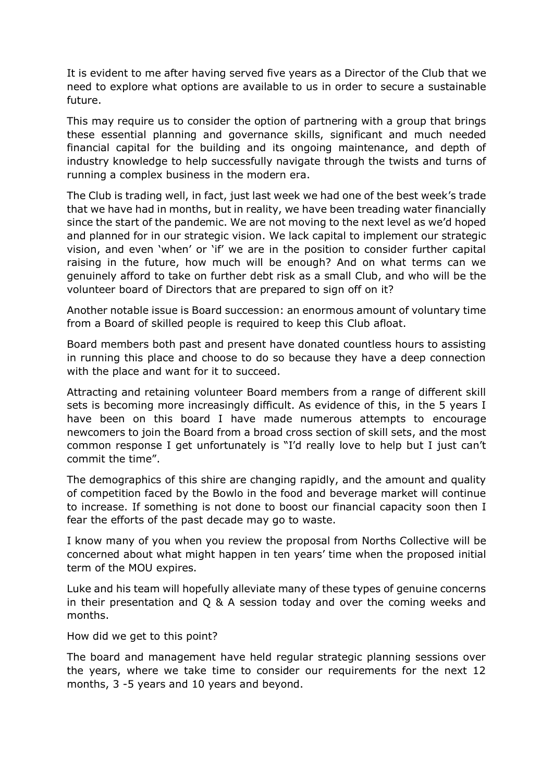It is evident to me after having served five years as a Director of the Club that we need to explore what options are available to us in order to secure a sustainable future.

This may require us to consider the option of partnering with a group that brings these essential planning and governance skills, significant and much needed financial capital for the building and its ongoing maintenance, and depth of industry knowledge to help successfully navigate through the twists and turns of running a complex business in the modern era.

The Club is trading well, in fact, just last week we had one of the best week's trade that we have had in months, but in reality, we have been treading water financially since the start of the pandemic. We are not moving to the next level as we'd hoped and planned for in our strategic vision. We lack capital to implement our strategic vision, and even 'when' or 'if' we are in the position to consider further capital raising in the future, how much will be enough? And on what terms can we genuinely afford to take on further debt risk as a small Club, and who will be the volunteer board of Directors that are prepared to sign off on it?

Another notable issue is Board succession: an enormous amount of voluntary time from a Board of skilled people is required to keep this Club afloat.

Board members both past and present have donated countless hours to assisting in running this place and choose to do so because they have a deep connection with the place and want for it to succeed.

Attracting and retaining volunteer Board members from a range of different skill sets is becoming more increasingly difficult. As evidence of this, in the 5 years I have been on this board I have made numerous attempts to encourage newcomers to join the Board from a broad cross section of skill sets, and the most common response I get unfortunately is "I'd really love to help but I just can't commit the time".

The demographics of this shire are changing rapidly, and the amount and quality of competition faced by the Bowlo in the food and beverage market will continue to increase. If something is not done to boost our financial capacity soon then I fear the efforts of the past decade may go to waste.

I know many of you when you review the proposal from Norths Collective will be concerned about what might happen in ten years' time when the proposed initial term of the MOU expires.

Luke and his team will hopefully alleviate many of these types of genuine concerns in their presentation and Q & A session today and over the coming weeks and months.

How did we get to this point?

The board and management have held regular strategic planning sessions over the years, where we take time to consider our requirements for the next 12 months, 3 -5 years and 10 years and beyond.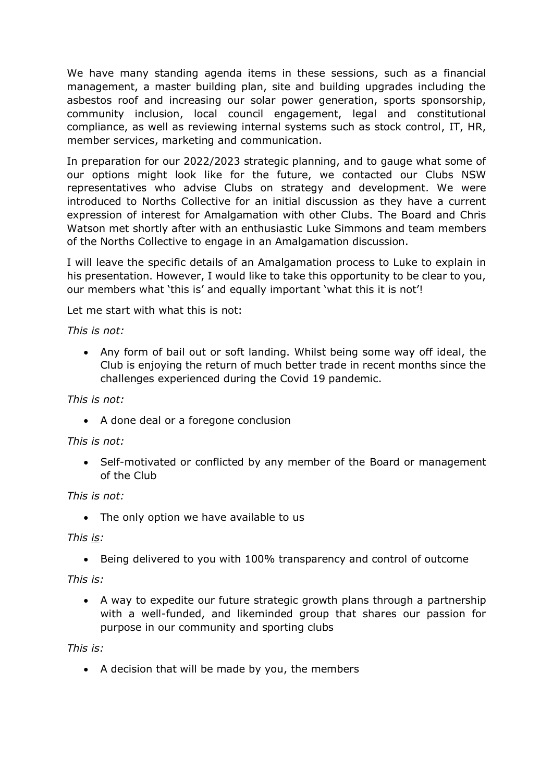We have many standing agenda items in these sessions, such as a financial management, a master building plan, site and building upgrades including the asbestos roof and increasing our solar power generation, sports sponsorship, community inclusion, local council engagement, legal and constitutional compliance, as well as reviewing internal systems such as stock control, IT, HR, member services, marketing and communication.

In preparation for our 2022/2023 strategic planning, and to gauge what some of our options might look like for the future, we contacted our Clubs NSW representatives who advise Clubs on strategy and development. We were introduced to Norths Collective for an initial discussion as they have a current expression of interest for Amalgamation with other Clubs. The Board and Chris Watson met shortly after with an enthusiastic Luke Simmons and team members of the Norths Collective to engage in an Amalgamation discussion.

I will leave the specific details of an Amalgamation process to Luke to explain in his presentation. However, I would like to take this opportunity to be clear to you, our members what 'this is' and equally important 'what this it is not'!

Let me start with what this is not:

*This is not:*

• Any form of bail out or soft landing. Whilst being some way off ideal, the Club is enjoying the return of much better trade in recent months since the challenges experienced during the Covid 19 pandemic.

# *This is not:*

• A done deal or a foregone conclusion

# *This is not:*

• Self-motivated or conflicted by any member of the Board or management of the Club

### *This is not:*

• The only option we have available to us

### *This is:*

• Being delivered to you with 100% transparency and control of outcome

# *This is:*

• A way to expedite our future strategic growth plans through a partnership with a well-funded, and likeminded group that shares our passion for purpose in our community and sporting clubs

### *This is:*

• A decision that will be made by you, the members